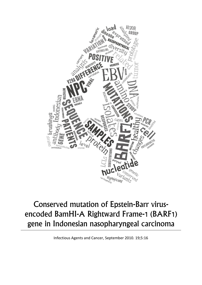

# Conserved mutation of Epstein-Barr virusencoded BamHI-A Rightward Frame-1 (BARF1) gene in Indonesian nasopharyngeal carcinoma

Infectious Agents and Cancer, September 2010. 19;5:16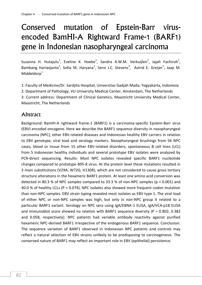# Conserved mutation of Epstein-Barr virusencoded BamHI-A Rightward Frame-1 (BARF1) gene in Indonesian nasopharyngeal carcinoma

Susanna H. Hutajulu<sup>1</sup>, Eveline K. Hoebe<sup>2</sup>, Sandra A.W.M. Verkuijlen<sup>2</sup>, Jajah Fachiroh<sup>1</sup>, Bambang Hariwijanto<sup>1</sup>, Sofia M. Haryana<sup>1</sup>, Servi J.C. Stevens<sup>3</sup>, Astrid E. Greijer<sup>1</sup>, Jaap M. Middeldor $p^1$ 

1: Faculty of Medicine/Dr. Sardjito Hospital, Universitas Gadjah Mada, Yogyakarta, Indonesia 2: Department of Pathology, VU University Medical Center, Amsterdam, The Netherlands 3: Current address: Department of Clinical Genetics, Maastricht University Medical Center, Maastricht, The Netherlands

## Abstract

Background: BamHI-A rightward frame-1 (BARF1) is a carcinoma-specific Epstein-Barr virus (EBV) encoded oncogene. Here we describe the BARF1 sequence diversity in nasopharyngeal carcinoma (NPC), other EBV-related diseases and Indonesian healthy EBV carriers in relation to EBV genotype, viral load and serology markers. Nasopharyngeal brushings from 56 NPC cases, blood or tissue from 15 other EBV-related disorders, spontaneous B cell lines (LCL) from 5 Indonesian healthy individuals and several prototype EBV isolates were analyzed by PCR-direct sequencing. Results: Most NPC isolates revealed specific BARF1 nucleotide changes compared to prototype B95-8 virus. At the protein level these mutations resulted in 3 main substitutions (V29A, W72G, H130R), which are not considered to cause gross tertiary structure alterations in the hexameric BARF1 protein. At least one amino acid conversion was detected in 80.3 % of NPC samples compared to 33.3 % of non-NPC samples ( $p < 0.001$ ) and 40.0 % of healthy LCLs (P = 0.074). NPC isolates also showed more frequent codon mutation than non-NPC samples. EBV strain typing revealed most isolates as EBV type 1. The viral load of either NPC or non-NPC samples was high, but only in non-NPC group it related to a particular BARF1 variant. Serology on NPC sera using IgA/EBNA-1 ELISA, IgA/VCA-p18 ELISA and immunoblot score showed no relation with BARF1 sequence diversity ( $P = 0.802$ , 0.382 and 0.058, respectively). NPC patients had variable antibody reactivity against purified hexameric NPC-derived BARF1 irrespective of the endogenous BARF1 sequence. Conclusion: The sequence variation of BARF1 observed in Indonesian NPC patients and controls may reflect a natural selection of EBV strains unlikely to be predisposing to carcinogenesis. The conserved nature of BARF1 may reflect an important role in EBV (epithelial) persistence.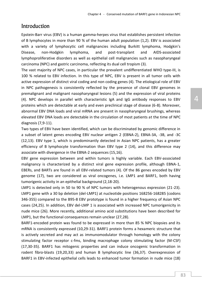## Introduction

Epstein-Barr virus (EBV) is a human gamma-herpes virus that establishes persistent infection of B lymphocytes in more than 90 % of the human adult population (1,2). EBV is associated with a variety of lymphocytic cell malignancies including Burkitt lymphoma, Hodgkin's Disease, non-Hodgkin lymphoma, and post-transplant and AIDS-associated lymphoproliferative disorders as well as epithelial cell malignancies such as nasopharyngeal carcinoma (NPC) and gastric carcinoma, reflecting its dual cell tropism (3).

The vast majority of NPC cases, in particular the prevalent undifferentiated WHO type-III, is 100 % related to EBV infection. In this type of NPC, EBV is present in all tumor cells with active expression of distinct viral coding and non coding genes (4). The etiological role of EBV in NPC pathogenesis is consistently reflected by the presence of clonal EBV genomes in premalignant and malignant nasopharyngeal lesions (5) and the expression of viral proteins (4). NPC develops in parallel with characteristic IgA and IgG antibody responses to EBV proteins which are detectable at early and even preclinical stage of disease (6-8). Moreover, abnormal EBV DNA loads and viral mRNA are present in nasopharyngeal brushings, whereas elevated EBV DNA loads are detectable in the circulation of most patients at the time of NPC diagnosis (7,9-11).

Two types of EBV have been identified, which can be discriminated by genomic difference in a subset of latent genes encoding EBV nuclear antigen 2 (EBNA-2), EBNA-3A, -3B, and -3C (12,13). EBV type 1, which is predominantly detected in Asian NPC patients, has a greater efficiency of B lymphocyte transformation than EBV type 2 (14), and this difference may associate with divergence in the EBNA-2 sequences (15,16).

EBV gene expression between and within tumors is highly variable. Each EBV-associated malignancy is characterized by a distinct viral gene expression profile, although EBNA-1, EBERs, and BARTs are found in all EBV-related tumors (4). Of the 86 genes encoded by EBV genome (17), two are considered as viral oncogenes, i.e. LMP1 and BARF1, both having tumorigenic activity in an epithelial background (2,18-20).

LMP1 is detected only in 50 to 90 % of NPC tumors with heterogenous expression (21-23). LMP1 gene with a 30 bp deletion (del-LMP1) at nucleotide positions 168256-168285 (codons 346-355) compared to the B95-8 EBV prototype is found in a higher frequency of Asian NPC cases (24,25). In addition, EBV del-LMP 1 is associated with increased NPC tumorigenicity in nude mice (26). More recently, additional amino acid substitutions have been described for LMP1, but the functional consequences remain unclear (27,28).

BARF1-encoded protein was found to be expressed in more than 85 % NPC biopsies and its mRNA is consistently expressed (10,29-31). BARF1 protein forms a hexameric structure that is actively secreted and may act as immunomodulator through homology with the colony stimulating factor receptor c-fms, binding macrophage colony stimulating factor (M-CSF) (17,30-35). BARF1 has mitogenic properties and can induce oncogenic transformation in rodent fibro-blasts (19,20,33) and human B lymphocytic line (36,37). Overexpression of BARF1 in EBV-infected epithelial cells leads to enhanced tumor formation in nude mice (18)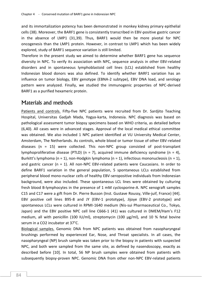and its immortalization potency has been demonstrated in monkey kidney primary epithelial cells (38). Moreover, the BARF1 gene is consistently transcribed in EBV-positive gastric cancer in the absence of LMP1 (31,39). Thus, BARF1 would then be more pivotal for NPC oncogenesis than the LMP1 protein. However, in contrast to LMP1 which has been widely explored, study of BARF1 sequence variation is still limited.

Therefore in the present study we aimed to determine whether BARF1 gene has sequence diversity in NPC. To verify its association with NPC, sequence analysis in other EBV-related disorders and in spontaneous lymphoblastoid cell lines (LCL) established from healthy Indonesian blood donors was also defined. To identify whether BARF1 variation has an influence on tumor biology, EBV genotype (EBNA-2 subtype), EBV DNA load, and serology pattern were analyzed. Finally, we studied the immunogenic properties of NPC-derived BARF1 as a purified hexameric protein.

## Materials and methods

Patients and controls. Fifty-five NPC patients were recruited from Dr. Sardjito Teaching Hospital, Universitas Gadjah Mada, Yogya-karta, Indonesia. NPC diagnosis was based on pathological assessment tumor biopsy specimens based on WHO criteria, as detailed before (6,40). All cases were in advanced stages. Approval of the local medical ethical committee was obtained. We also included 1 NPC patient identified at VU University Medical Center, Amsterdam, The Netherlands. As controls, whole blood or tumor tissue of other EBV-related diseases (n = 15) were collected. This non-NPC group consisted of post-transplant lymphoproliferative disease (PTLD) ( $n = 7$ ), acquired immune deficiency syndrome ( $n = 4$ ), Burkitt's lymphoma (n = 1), non-Hodgkin lymphoma (n = 1), infectious mononucleosis (n = 1), and gastric cancer ( $n = 1$ ). All non-NPC EBV-related patients were Caucasians. In order to define BARF1 variation in the general population, 5 spontaneous LCLs established from peripheral blood mono-nuclear cells of healthy EBV-seropositive individuals from Indonesian background, were also included. These spontaneous LCL lines were obtained by culturing fresh blood B-lymphocytes in the presence of 1 mM cyclosporine-A. NPC xenograft samples C15 and C17 were a gift from Dr. Pierre Busson (Inst. Gustave Roussy, Ville-juif, France) [44]. EBV positive cell lines B95-8 and JY (EBV-1 prototype), Jijoye (EBV-2 prototype) and spontaneous LCLs were cultured in RPMI-1640 medium (Nis-sui Pharmaceutical Co., Tokyo, Japan) and the EBV positive NPC cell line C666-1 (41) was cultured in DMEM/Ham's F12 medium, all with penicillin (100 IU/ml), streptomycin (100 μg/ml), and 10 % fetal bovine serum in a CO2 incubator at 37°C.

Biological samples. Genomic DNA from NPC patients was obtained from nasopharyngeal brushings performed by experienced Ear, Nose, and Throat specialists. In all cases, the nasopharyngeal (NP) brush sample was taken prior to the biopsy in patients with suspected NPC, and both were sampled from the same site, as defined by nasendoscopy, exactly as described before [10]. In total, 56 NP brush samples were obtained from patients with subsequently biopsy-proven NPC. Genomic DNA from other non-NPC EBV-related patients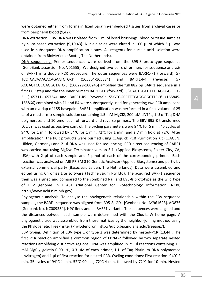were obtained either from formalin fixed paraffin-embedded tissues from archival cases or from peripheral blood (9,42).

DNA extraction. EBV DNA was isolated from 1 ml of lysed brushings, blood or tissue samples by silica-based extraction (9,10,43). Nucleic acids were eluted in 100 μl of which 5 μl was used in subsequent DNA amplification assays. All reagents for nucleic acid isolation were obtained from BioMerieux (Boxtel, The Netherlands).

DNA sequencing. Primer sequences were derived from the B95-8 proto-type sequence [GeneBank accession No. V01555]. We designed two pairs of primers for sequence analysis of BARF1 in a double PCR procedure. The outer sequences were BARF1-F1 (forward): 5′- TCCTCACAAACACAGAATCTG-3′ (165364-165384) and BARF1-R4 (reverse): 5′- ACGAGTCGCGAGGCTATC-3′ (166229-166246) amplified the full 882 bp BARF1 sequence in a first PCR step and the the inner primers BARF1-F6 (forward): 5′-GAGTGGCCTTTCAGGGGCTTC-3′ (165711-165734) and BARF1-R5 (reverse): 5′-GTGGCCTTTCAGGGGCTTC-3′ (165845- 165866) combined with F1 and R4 were subsequently used for generating two PCR amplicons with an overlap of 155 basepairs. BARF1 amplification was performed in a final volume of 25 μl of a master mix sample solution containing 1.5 mM MgCl2, 200 μM dNTPs, 1 U of Taq DNA polymerase, and 10 pmol each of forward and reverse primers. The EBV B95-8 transformed LCL, JY, was used as positive control. The cycling parameters were 94°C for 5 min, 45 cycles of 94°C for 1 min, followed by 54°C for 1 min; 72°C for 1 min; and a 7 min hold at 72°C. After amplification, the PCR products were purified using QIAquick PCR Purification Kit (QIAGEN, Hilden, Germany) and 2 μl DNA was used for sequencing. PCR direct sequencing of BARF1 was carried out using BigDye Terminator version 3.1. (Applied Biosystems, Foster City, CA, USA) with 2 μl of each sample and 2 pmol of each of the corresponding primers. Each reaction was analyzed on ABI PRISM 310 Genetic Analyzer (Applied Biosystems) and partly by external commercial party (Baseclear, Leiden, The Netherlands). Data were assembled and edited using Chromas Lite software (Technelysium Pty Ltd). The acquired BARF1 sequence then was aligned and compared to the combined Raji and B95-8 prototype as the wild type of EBV genome in BLAST (National Center for Biotechnology Information: NCBI; http://www.ncbi.nlm.nih.gov).

Phylogenetic analysis. To analyse the phylogenetic relationship within the EBV sequence samples, the BARF1 sequence was aligned from B95-8, GD1 [Genbank No. AY961628], AG876 [Genbank No. NC009334], NPC lines and all BARF1 variants. The sequences were aligned and the distances between each sample were determined with the Clus-talW home page. A phylogenetic tree was assembled from these matrices by the neighbor-joining method using the Phylogenetic TreePrinter (Phylodendron: http://iubio.bio.indiana.edu/treeapp/).

EBV typing. Definition of EBV type 1 or type 2 was determined by nested-PCR (13,44). The first PCR reaction amplified a common region of EBNA-2 followed by two separate nested reactions amplifying distinctive regions. DNA was amplified in 25 μl reactions containing 1.5 mM MgCl<sub>2</sub>, gelatin 0.001 %, 0.3  $\mu$ M of each primer, 1 U of Taq Platinum DNA polymerase (Invitrogen) and 1 μl of first reaction for nested-PCR. Cycling conditions: First reaction: 94°C 2 min, 35 cycles of 94°C 1 min, 52°C 90 sec, 72°C 4 min, followed by 72°C for 10 min. Nested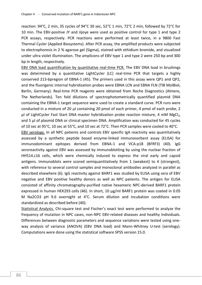reaction: 94°C, 2 min, 35 cycles of 94°C 30 sec, 52°C 1 min, 72°C 2 min, followed by 72°C for 10 min. The EBV-positive JY and Jijoye were used as positive control for type 1 and type 2 PCR assays, respectively. PCR reactions were performed at least twice, in a 9800 Fast Thermal Cycler (Applied Biosystems). After PCR assay, the amplified products were subjected to electrophoresis in 2 % agarose gel (Sigma), stained with ethidium bromide, and visualized under ultra violet illumination. The amplicons of EBV type 1 and type 2 were 250 bp and 300 bp in length, respectively.

EBV DNA load quantification by quantitative real-time PCR. The EBV DNA load in brushings was determined by a quantitative LightCycler (LC) real-time PCR that targets a highly conserved 213-bpregion of EBNA-1 (45). The primers used in this assay were QP1 and QP2, and the fluorigenic internal hybridization probes were EBNA LCN and EBNA FLN (TIB MolBiol, Berlin, Germany). Real-time PCR reagents were obtained from Roche Diagnostics (Almere, The Netherlands). Ten fold dilutions of spectrophotometrically quantified plasmid DNA containing the EBNA-1 target sequence were used to create a standard curve. PCR runs were conducted in a mixture of 20 μl containing 20 pmol of each primer, 4 pmol of each probe, 2 μl of LightCycler Fast Start DNA master hybridization probe reaction mixture, 4 mM MgCl<sub>2</sub>, and 5 μl of plasmid DNA or clinical specimen DNA. Amplification was conducted for 45 cycles of 10 sec at 95°C, 10 sec at 55°C, and 10 sec at 72°C. Then PCR samples were cooled to 40°C.

EBV serology. In all NPC patients and controls EBV specific IgA reactivity was quantitatively assessed by a synthetic peptide based enzyme-linked immunosorbent assay (ELISA) for immunodominant epitopes derived from EBNA-1 and VCA-p18 (BFRF3) (40). IgG seroreactivity against EBV was assessed by immunoblotting by using the nuclear fraction of HH514.c16 cells, which were chemically induced to express the viral early and capsid antigens. Immunoblots were scored semiquantitatively from 1 (weakest) to 4 (strongest), with reference to several control samples and monoclonal antibodies analyzed in parallel as described elsewhere (6). IgG reactivity against BARF1 was studied by ELISA using sera of EBV negative and EBV positive healthy donors as well as NPC patients. The antigen for ELISA consisted of affinity chromatography-purified native hexameric NPC-derived BARF1 protein expressed in human HEK293 cells (46). In short, 10 μg/ml BARF1 protein was coated in 0.05 M Na2CO3 pH 9.6 overnight at  $4^{\circ}$ C. Serum dilution and incubation conditions were standardized as described before (40).

Statistical Analysis. Chi-square test and Fischer's exact test were performed to analyze the frequency of mutation in NPC cases, non-NPC EBV-related diseases and healthy individuals. Differences between diagnostic parameters and sequence variations were tested using oneway analysis of variance (ANOVA) (EBV DNA load) and Mann-Whitney U-test (serology). Computations were done using the statistical software SPSS version 15.0.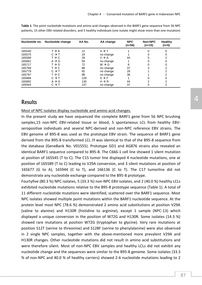|        | Nucleotide no. Nucleotide change | AA No. | AA change         | <b>NPC</b><br>$(n=56)$ | Non-NPC<br>$(n=15)$ | Healthy<br>$(n=5)$ |
|--------|----------------------------------|--------|-------------------|------------------------|---------------------|--------------------|
| 165540 | $T \rightarrow A$                | 12     | $S \rightarrow T$ |                        | O                   | 0                  |
| 165575 | $C \rightarrow T$                | 24     | no change         |                        |                     | 0                  |
| 165589 | $T \rightarrow C$                | 29     | $V \rightarrow A$ | 44                     | 5                   | 2                  |
| 165681 | $A \rightarrow G$                | 59     | no change         |                        | 0                   | 0                  |
| 165717 | $T \rightarrow G$                | 72     | $W \rightarrow G$ | 8                      |                     | 0                  |
| 165768 | $T \rightarrow C$                | 88     | no change         | 37                     | 3                   | 2                  |
| 165779 | $C \rightarrow T$                | 92     | no change         | 28                     |                     | $\overline{2}$     |
| 165797 | $T \rightarrow C$                | 98     | no change         | 36                     |                     | 2                  |
| 165886 | $C \rightarrow T$                | 128    | $S \rightarrow F$ |                        |                     | 0                  |
| 165892 | $A \rightarrow G$                | 130    | $H \rightarrow R$ | 44                     | 2                   | $\overline{2}$     |
| 165944 | $C \rightarrow T$                | 147    | no change         | 37                     | 5                   | 2                  |
|        |                                  |        |                   |                        |                     |                    |

**Table 1**. The point nucleotide mutations and amino acid changes observed in the BARF1 gene sequence from 56 NPC patients, 15 other EBV-related disorders, and 5 healthy individuals (one isolate might show more than one mutation)

### **Results**

Most of NPC isolates display nucleotide and amino acid changes.

In the present study we have sequenced the complete BARF1 gene from 56 NPC brushing samples,15 non-NPC EBV-related tissue or blood, 5 spontaneous LCL from healthy EBVseropositive individuals and several NPC-derived and non-NPC reference EBV strains. The EBV genome of B95-8 was used as the prototype EBV strain. The sequence of BARF1 gene derived from the B95-8 transformed LCL JY was identical to that of the B95-8 sequence from the database (GeneBank No. V01555). Prototype GD1 and AG876 strains also revealed an identical BARF1 sequence compared to B95-8. The C666-1 cell line showed 1 silent mutation at position of 165545 (T to C). The C15 tumor line displayed 4 nucleotide mutations, one at position of 165589 (T to C) leading to V29A conversion, and 3 silent mutations at position of 165677 (G to A), 165944 (C to T), and 166136 (C to T). The C17 tumorline did not demonstrate any nucleotide exchange compared to the B95-8 prototype.

Fourtyfive (80.3 %) NPC isolates, 5 (33.3 %) non-NPC EBV isolates, and 2 (40.0 %) healthy LCLs exhibited nucleotide mutations relative to the B95-8 prototype sequence (Table 1). A total of 11 different nucleotide mutations were identified, scattered over the BARF1 sequence. Most NPC isolates showed multiple point mutations within the BARF1 nucleotide sequence. At the protein level most NPC (78.6 %) demonstrated 2 amino acid substitutions at position V29A (valine to alanine) and H130R (histidine to arginine), except 1 sample (NPC-13) which displayed a unique conversion in the position of W72G and H130R. Some isolates (14.3 %) showed rare mutations at position W72G (tryptophan to glycine). Very rare mutations at position S12T (serine to threonine) and S128F (serine to phenylalanine) were also observed in 2 single NPC samples, together with the above-mentioned more prevalent V29A and H130R changes. Other nucleotide mutations did not result in amino acid substitutions and were therefore silent. Most of non-NPC EBV samples and healthy LCLs did not exhibit any nucleotide change and the sequences were similar to the B95-8 genome. Some isolates (33.3 % of non-NPC and 40.0 % of healthy carriers) showed 2-6 nucleotide mutations leading to 2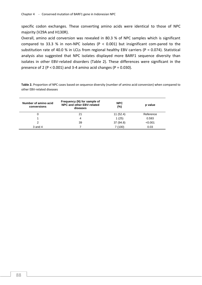specific codon exchanges. These converting amino acids were identical to those of NPC majority (V29A and H130R).

Overall, amino acid conversion was revealed in 80.3 % of NPC samples which is significant compared to 33.3 % in non-NPC isolates ( $P < 0.001$ ) but insignificant com-pared to the substitution rate of 40.0 % in LCLs from regional healthy EBV carriers ( $P = 0.074$ ). Statistical analysis also suggested that NPC isolates displayed more BARF1 sequence diversity than isolates in other EBV-related disorders (Table 2). These differences were significant in the presence of 2 ( $P < 0.001$ ) and 3-4 amino acid changes ( $P = 0.030$ ).

**Table 2.** Proportion of NPC cases based on sequence diversity (number of amino acid conversion) when compared to other EBV-related diseases

| Number of amino acid<br>conversions | Frequency (N) for sample of<br>NPC and other EBV-related<br>diseases | <b>NPC</b><br>(%) | p value   |
|-------------------------------------|----------------------------------------------------------------------|-------------------|-----------|
|                                     | 21                                                                   | 11(52.4)          | Reference |
|                                     | 4                                                                    | 1(25)             | 0.593     |
| 2                                   | 39                                                                   | 37 (94.8)         | < 0.001   |
| $3$ and $4$                         |                                                                      | 7(100)            | 0.03      |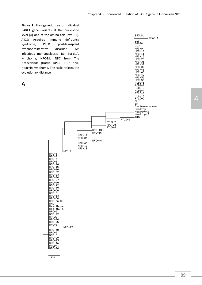**Figure 1.** Phylogenetic tree of individual BARF1 gene variants at the nucleotide level [A] [and at the amino acid level \[B\].](http://iubio.bio.indiana.edu/treeapp/tmp/untitled-5731.map)  AIDS: Acquired immune deficiency syndrome; PTLD: post-transplant lymphoproliferative disorder; IM: infectious mononucleosis; BL: Burkitt's lymphoma; NPC-NL: NPC from The Netherlands (Dutch NPC); NHL: non-Hodgkin lymphoma. The scale reflects the evolutionary distance.

## A



-NPC-13<br>-NPC-16

 $-NPC-44$ 

 $NPC-17$ NPC-34

NPC-45<br>NPC-18<br>NPC-19

INPC-4

| 2012 - 2013 - 2014 - 2015 - 2015 - 2015 - 2015 - 2015 - 2015 - 2015 - 2015 - 2015 - 2015 - 2015 - 2015 - 201<br>| 2016 - 2016 - 2016 - 2016 - 2016 - 2016 - 2016 - 2016 - 2016 - 2016 - 2016 - 2016 - 2016 - 2015 - 2015 - 20<br>

NPC-42<br>NPC-59<br>NPC-51<br>NPC-54<br>NPC-54<br>NPC-56-NL

Healthy-4<br>
Healthy-5<br>
NPC-22<br>
NPC-23<br>
NPC-24<br>
NPC-25<br>
NPC-3

NPC-48 NPC-7<br>NPC-8 NPC-29<br>NPC-35<br>NPC-46 |PTLD−1 INPC-26

 $-NPC-27$ 

NHL Healthy-4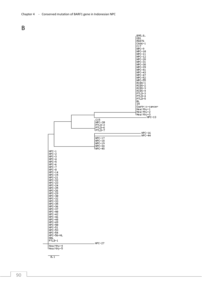

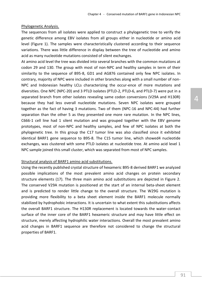#### Phylogenetic Analysis.

The sequences from all isolates were applied to construct a phylogenetic tree to verify the genetic difference among EBV isolates from all groups either in nucleotide or amino acid level (Figure 1). The samples were characteristically clustered according to their sequence variations. There was little difference in display between the tree of nucleotide and amino acid as many nucleotide mutations consisted of silent exchanges.

At amino acid level the tree was divided into several branches with the common mutations at codon 29 and 130. The group with most of non-NPC and healthy samples in term of their similarity to the sequence of B95-8, GD1 and AG876 contained only few NPC isolates. In contrary, majority of NPC were included in other branches along with a small number of non-NPC and Indonesian healthy LCLs characterizing the occur-ence of more mutations and diversities. One NPC (NPC-20) and 3 PTLD isolates (PTLD-2, PTLD-6, and PTLD-7) were put in a separated branch from other isolates revealing same codon conversions (V29A and H130R) because they had less overall nucleotide mutations. Seven NPC isolates were grouped together as the fact of having 3 mutations. Two of them (NPC-16 and NPC-44) had further separation than the other 5 as they presented one more rare mutation. In the NPC lines, C666-1 cell line had 1 silent mutation and was grouped together with the EBV genome prototypes, most of non-NPC and healthy samples, and few of NPC isolates at both the phylogenetic tree. In this group the C17 tumor line was also classified since it exhibited identical BARF1 gene sequence to B95-8. The C15 tumor line, which showed4 nucleotide exchanges, was clustered with some PTLD isolates at nucleotide tree. At amino acid level 1 NPC sample joined this small cluster, which was separated from most of NPC samples.

#### Structural analysis of BARF1 amino acid substitutions.

Using the recently published crystal structure of hexameric B95-8 derived BARF1 we analyzed possible implications of the most prevalent amino acid changes on protein secondary structure elements (17). The three main amino acid substitutions are depicted in Figure 2. The conserved V29A mutation is positioned at the start of an internal beta-sheet element and is predicted to render little change to the overall structure. The W29G mutation is providing more flexibility to a beta sheet element inside the BARF1 molecule normally stabilized by hydrophobic interactions. It is uncertain to what extent this substitutions affects the overall BARF1 structure. The H130R replacement is located towards the water-contact surface of the inner core of the BARF1 hexameric structure and may have little effect on structure, merely affecting hydrophilic water interactions. Overall the most prevalent amino acid changes in BARF1 sequence are therefore not considered to change the structural properties of BARF1.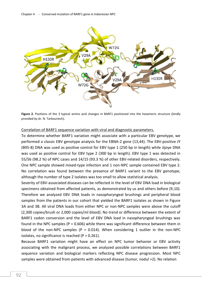

**Figure 2.** Positions of the 3 typical amino acid changes in BARF1 positioned into the hexameric structure (kindly provided by dr. N. Tarbouriech).

#### Correlation of BARF1 sequence variation with viral and diagnostic parameters.

To determine whether BARF1 variation might associate with a particular EBV genotype, we performed a classic EBV genotype analysis for the EBNA-2 gene (13,44). The EBV-positive JY (B95-8) DNA was used as positive control for EBV type 1 (250 bp in length) while Jijoye DNA was used as positive control for EBV type 2 (300 bp in length). EBV type 1 was detected in 55/56 (98.2 %) of NPC cases and 14/15 (93.3 %) of other EBV-related disorders, respectively. One NPC sample showed mixed-type infection and 1 non-NPC sample contained EBV type 2. No correlation was found between the presence of BARF1 variant to the EBV genotype, although the number of type 2 isolates was too small to allow statistical analysis.

Severity of EBV-associated diseases can be reflected in the level of EBV DNA load in biological specimens obtained from affected patients, as demonstrated by us and others before (9,10). Therefore we analyzed EBV DNA loads in nasopharyngeal brushings and peripheral blood samples from the patients in our cohort that yielded the BARF1 isolates as shown in Figure 3A and 3B. All viral DNA loads from either NPC or non-NPC samples were above the cutoff (2,300 copies/brush or 2,000 copies/ml blood). No trend or difference between the extent of BARF1 codon conversion and the level of EBV DNA load in nasopharyngeal brushings was found in the NPC samples ( $P = 0.606$ ) while there was significant difference between them in blood of the non-NPC samples ( $P = 0.014$ ). When considering 1 outlier in the non-NPC isolates, no significance is reached ( $P = 0.261$ ).

Because BARF1 variation might have an effect on NPC tumor behavior or EBV activity associating with the malignant process, we analyzed possible correlations between BARF1 sequence variation and biological markers reflecting NPC disease progression. Most NPC samples were obtained from patients with advanced disease (tumor, nodul >2). No relation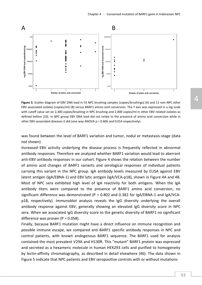

**Figure 3.** Scatter diagram of EBV DNA load in 53 NPC brushing samples (copies/brushings) (A) and 11 non-NPC other EBV-associated isolates (copies/ml) (B) versus BARF1 amino acid conversion. The Y axis was expressed in a log scale with cutoff value set on 2,300 copies/brushing in NPC brushing and 2,000 copies/ml in other EBV-related isolates as defined before [10]. In NPC group EBV DNA load did not relate to the presence of amino acid conversion while in other EBV-associated diseases it did (one-way ANOVA p = 0.606 and 0.014 respectively).

was found between the level of BARF1 variation and tumor, nodul or metastasis-stage (data not shown).

Increased EBV activity underlying the disease process is frequently reflected in abnormal antibody responses. Therefore we analyzed whether BARF1 variation would lead to aberrant anti-EBV antibody responses in our cohort. Figure 4 shows the relation between the number of amino acid changes of BARF1 variants and serological responses of individual patients carrying this variant in the NPC group. IgA antibody levels measured by ELISA against EBV latent antigen (IgA/EBNA-1) and EBV lytic antigen (IgA/VCA-p18), shown in Figure 4A and 4B. Most of NPC sera exhibited high level of IgA reactivity for both antigens. When the IgA antibody titers were compared to the presence of BARF1 amino acid conversion, no significant difference was demonstrated (P =  $0.802$  and  $0.382$  for IgA/EBNA-1 and IgA/VCAp18, respectively). Immunoblot analysis reveals the IgG diversity underlying the overall antibody response against EBV, generally showing an elevated IgG diversity score in NPC sera. When we associated IgG diversity score to the genetic diversity of BARF1 no significant difference was proven ( $P = 0.058$ ).

Finally, because BARF1 mutation might have a direct influence on immune recognition and possible immune escape, we compared anti-BARF1 specific antibody responses in NPC and control patients, with known endogenous BARF1 sequence. The BARF1 used for analysis contained the most prevalent V29A and H130R. This "mutant" BARF1 protein was expressed and secreted as a hexameric molecule in human HEK293 cells and purified to homogeneity by lectin-affinity chromatography, as described in detail elsewhere (46). The data shown in Figure 5 indicate that NPC patients and EBV seropositive controls with or without mutations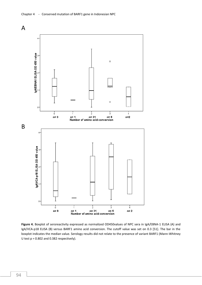

Figure 4. Boxplot of seroreactivity expressed as normalized OD450values of NPC sera in IgA/EBNA-1 ELISA (A) and IgA/VCA-p18 ELISA (B) versus BARF1 amino acid conversion. The cutoff value was set on 0.3 [51]. The bar in the boxplot indicates the median value. Serology results did not relate to the presence of variant BARF1 (Mann-Whitney U test  $p = 0.802$  and 0.382 respectively).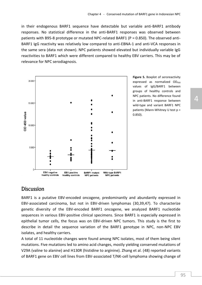in their endogenous BARF1 sequence have detectable but variable anti-BARF1 antibody responses. No statistical difference in the anti-BARF1 responses was observed between patients with B95-8 prototype or mutated NPC-related BARF1 (P = 0.850). The observed anti-BARF1 IgG reactivity was relatively low compared to anti-EBNA-1 and anti-VCA responses in the same sera (data not shown). NPC patients showed elevated but individually variable IgG reactivities to BARF1 which were different compared to healthy EBV carriers. This may be of relevance for NPC serodiagnosis.



**Figure 5.** Boxplot of seroreactivity expressed as normalized OD<sub>450</sub> values of IgG/BARF1 between groups of healthy controls and NPC patients. No difference found in anti-BARF1 response between wild-type and variant BARF1 NPC patients (Mann-Whitney U test p = 0.850).

### Discussion

BARF1 is a putative EBV-encoded oncogene, predominantly and abundantly expressed in EBV-associated carcinoma, but not in EBV-driven lymphomas (30,39,47). To characterize genetic diversity of the EBV-encoded BARF1 oncogene, we analyzed BARF1 nucleotide sequences in various EBV-positive clinical specimens. Since BARF1 is especially expressed in epithelial tumor cells, the focus was on EBV-driven NPC tumors. This study is the first to describe in detail the sequence variation of the BARF1 genotype in NPC, non-NPC EBV isolates, and healthy carriers.

A total of 11 nucleotide changes were found among NPC isolates, most of them being silent mutations. Five mutations led to amino acid changes, mostly yielding conserved mutations of V29A (valine to alanine) and H130R (histidine to arginine). Zhang et al. (48) reported variants of BARF1 gene on EBV cell lines from EBV-associated T/NK-cell lymphoma showing change of 4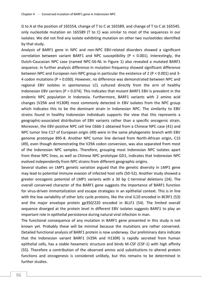G to A at the position of 165554, change of T to C at 165589, and change of T to C at 165545. only nucleotide mutation on 165589 (T to C) was similar to most of the sequences in our isolates. We did not find any isolate exhibiting mutation on other two nucleotides identified by that study.

Analysis of BARF1 gene in NPC and non-NPC EBV-related disorders showed a significant correlation between variant BARF1 and NPC susceptibility ( $P < 0.001$ ). Interestingly, the Dutch-Caucasian NPC case (named NPC-56-NL in Figure 1) also revealed a mutated BARF1 sequence. In further analysis difference in mutation frequency showed significant difference between NPC and European non-NPC group in particular the existence of 2 (P < 0.001) and 3- 4 codon mutations ( $P = 0.030$ ). However, no difference was demonstrated between NPC and regional EBV isolates in spontaneous LCL cultured directly from the arm of healthy Indonesian EBV carriers ( $P = 0.074$ ). This indicates that mutant BARF1 EBV is prevalent in the endemic NPC population in Indonesia. Furthermore, BARF1 variants with 2 amino acid changes (V29A and H130R) most commonly detected in EBV isolates from the NPC group which indicates this to be the dominant strain in Indonesian NPC. The similarity to EBV strains found in healthy Indonesian individuals supports the view that this represents a geographic-associated distribution of EBV variants rather than a specific oncogenic strain. Moreover, the EBV-positive NPC cell line C666-1 obtained from a Chinese NPC case (41) and NPC tumor line C17 of European origin (49) were in the same phylogenetic branch with EBV genome prototype B95-8. Another NPC tumor line derived from North-African origin, C15 (49), even though demonstrating the V29A codon conversion, was also separated from most of the Indonesian NPC samples. Therefore, grouping most Indonesian NPC isolates apart from these NPC lines, as well as Chinese NPC prototype GD1, indicates that Indonesian NPC evolved independently from NPC strains from different geographic origins.

Several studies on LMP1 genetic variation argued that the genetic diversity in LMP1 gene may lead to potential immune evasion of infected host cells (50-52). Another study showed a greater oncogenic potential of LMP1 variants with a 30 bp C-terminal deletions (24). The overall conserved character of the BARF1 gene suggests the importance of BARF1 function for virus-driven immortalization and escape strategies in an epithelial context. This is in line with the low variability of other lytic cycle proteins, like the viral IL10 encoded in BCRF1 (53) and the major envelope protein gp350/220 encoded in BLLF1 (54). The limited overall sequence diverged at the protein level in different EBV isolates suggests BARF1 to play an important role in epithelial persistence during natural viral infection in man.

The functional consequence of any mutation in BARF1 gene presented in this study is not known yet. Probably these will be minimal because the mutations are rather conserved. Detailed functional analysis of BARF1 protein is now underway. Our preliminary data indicate that the Indonesian variant BARF1 (V29A and H130R) is rapidly secreted from human epithelial cells, has a stable hexameric structure and binds M-CSF (CSF-1) with high affinity (55). Therefore a contribution of the observed amino acid substitutions to altered protein functions and oncogenesis is considered unlikely, but this remains to be determined in further studies.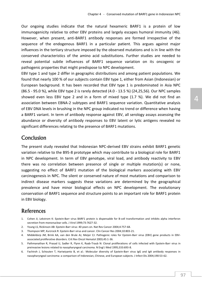Our ongoing studies indicate that the natural hexameric BARF1 is a protein of low immunogenicity relative to other EBV proteins and largely escapes humoral immunity (46). However, when present, anti-BARF1 antibody responses are formed irrespective of the sequence of the endogenous BARF1 in a particular patient. This argues against major influences in the tertiary structure imposed by the observed mutations and is in line with the conserved characteristics of the amino acid substitutions. Further studies are needed to reveal potential subtle influences of BARF1 sequence variation on its oncogenic or pathogenic properties that might predispose to NPC development.

EBV type 1 and type 2 differ in geographic distributions and among patient populations. We found that nearly 100 % of our subjects contain EBV type 1, either from Asian (Indonesian) or European background. It has been recorded that EBV type 1 is predominated in Asia NPC (86.5 - 95.0 %), while EBV type 2 is rarely detected (4.0 - 13.5 %) (24,25,56). Our NPC samples showed even less EBV type 2 and in a form of mixed type (1.7 %). We did not find an association between EBNA-2 subtypes and BARF1 sequence variation. Quantitative analysis of EBV DNA levels in brushing in the NPC group indicated no trend or difference when having a BARF1 variant. In term of antibody response against EBV, all serology assays assessing the abundance or diversity of antibody responses to EBV latent or lytic antigens revealed no significant differences relating to the presence of BARF1 mutations.

### Conclusion

The present study revealed that Indonesian NPC-derived EBV strains exhibit BARF1 genetic variation relative to the B95-8 prototype which may contribute to a biological role for BARF1 in NPC development. In term of EBV genotype, viral load, and antibody reactivity to EBV there was no correlation between presence of single or multiple mutation(s) or none, suggesting no effect of BARF1 mutation of the biological markers associating with EBV carcinogenesis in NPC. The silent or conserved nature of most mutations and comparison to indirect disease markers suggests these variations are determined by the geographical prevalence and have minor biological effects on NPC development. The evolutionary conservation of BARF1 sequence and structure points to an important role for BARF1 protein in EBV biology.

### References

- 1. Cohen JI, Lekstrom K: Epstein-Barr virus BARF1 protein is dispensable for B-cell transformation and inhibits alpha interferon secretion from mononuclear cells. J Virol 1999;73:7627-32.
- 2. Young LS, Rickinson AB: Epstein-Barr virus: 40 years on. Nat Rev Cancer 2004;4:757-68.
- 3. Thompson MP, Kurzrock R: Epstein-Barr virus and cancer. Clin Cancer Res 2004;10:803-21.
- 4. Middeldorp JM, Brink AA, van den Brule AJ, Meijer CJ: Pathogenic roles for Epstein-Barr virus (EBV) gene products in EBVassociated proliferative disorders. Crit Rev Oncol Hematol 2003;45:1-36.
- 5. Pathmanathan R, Prasad U, Sadler R, Flynn K, Raab-Traub N: Clonal proliferations of cells infected with Epstein-Barr virus in preinvasive lesions related to nasopharyngeal carcinoma. N Engl J Med 1995;333:693-8.
- 6. Fachiroh J, Schouten T, Hariwiyanto B, et al.: Molecular diversity of Epstein-Barr virus IgG and IgA antibody responses in nasopharyngeal carcinoma: a comparison of Indonesian, Chinese, and European subjects. J Infect Dis 2004;190:53-62.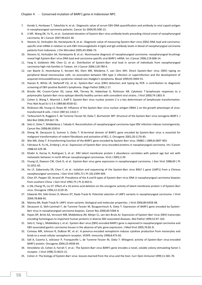- 7. Kondo S, Horikawa T, Takeshita H, et al.: Diagnostic value of serum EBV-DNA quantification and antibody to viral capsid antigen in nasopharyngeal carcinoma patients. Cancer Sci 2004;95:508-13.
- 8. Ji MF, Wang DK, Yu YL, et al.: Sustained elevation of Epstein-Barr virus antibody levels preceding clinical onset of nasopharyngeal carcinoma. Br J Cancer 2007;96:623-30.
- 9. Stevens SJ, Verkuijlen SA, Hariwiyanto B, et al.: Diagnostic value of measuring Epstein-Barr virus (EBV) DNA load and carcinomaspecific viral mRNA in relation to anti-EBV immunoglobulin A (IgA) and IgG antibody levels in blood of nasopharyngeal carcinoma patients from Indonesia. J Clin Microbiol 2005;43:3066-73.
- 10. Stevens SJ, Verkuijlen SA, Hariwiyanto B, et al.: Noninvasive diagnosis of nasopharyngeal carcinoma: nasopharyngeal brushings reveal high Epstein-Barr virus DNA load and carcinoma-specific viral BARF1 mRNA. Int J Cancer 2006;119:608-14.
- 11. Yang X, Goldstein AM, Chen CJ, et al.: Distribution of Epstein-Barr viral load in serum of individuals from nasopharyngeal carcinoma high-risk families in Taiwan. Int J Cancer 2006;118:780-4.
- 12. van Baarle D, Hovenkamp E, Kersten MJ, Klein MR, Miedema F, van Oers MH: Direct Epstein-Barr virus (EBV) typing on peripheral blood mononuclear cells: no association between EBV type 2 infection or superinfection and the development of acquired immunodeficiency syndrome-related non-Hodgkin's lymphoma. Blood 1999;93:3949-55.
- 13. Hassan R, White LR, Stefanoff CG, et al.: Epstein-Barr virus (EBV) detection and typing by PCR: a contribution to diagnostic screening of EBV-positive Burkitt's lymphoma. Diagn Pathol 2006;1:17.
- 14. Brooks JM, Croom-Carter DS, Leese AM, Tierney RJ, Habeshaw G, Rickinson AB: Cytotoxic T-lymphocyte responses to a polymorphic Epstein-Barr virus epitope identify healthy carriers with coresident viral strains. J Virol 2000;74:1801-9.
- 15. Cohen JI, Wang F, Mannick J, Kieff E: Epstein-Barr virus nuclear protein 2 is a key determinant of lymphocyte transformation. Proc Natl Acad Sci U S A 1989;86:9558-62.
- 16. Rickinson AB, Young LS, Rowe M: Influence of the Epstein-Barr virus nuclear antigen EBNA 2 on the growth phenotype of virustransformed B cells. J Virol 1987;61:1310-7.
- 17. Tarbouriech N, Ruggiero F, de Turenne-Tessier M, Ooka T, Burmeister WP: Structure of the Epstein-Barr virus oncogene BARF1. J Mol Biol 2006;359:667-78.
- 18. Seto E, Ooka T, Middeldorp J, Takada K: Reconstitution of nasopharyngeal carcinoma-type EBV infection induces tumorigenicity. Cancer Res 2008;68:1030-6.
- 19. Sheng W, Decaussin G, Sumner S, Ooka T: N-terminal domain of BARF1 gene encoded by Epstein-Barr virus is essential for malignant transformation of rodent fibroblasts and activation of BCL-2. Oncogene 2001;20:1176-85.
- 20. Wei MX, Ooka T: A transforming function of the BARF1 gene encoded by Epstein-Barr virus. EMBO J 1989;8:2897-903.
- 21. Fahraeus R, Fu HL, Ernberg I, et al.: Expression of Epstein-Barr virus-encoded proteins in nasopharyngeal carcinoma. Int J Cancer 1988;42:329-38.
- 22. Khabir A, Karray H, Rodriguez S, et al.: EBV latent membrane protein 1 abundance correlates with patient age but not with metastatic behavior in north African nasopharyngeal carcinomas. Virol J 2005;2:39.
- 23. Young LS, Dawson CW, Clark D, et al.: Epstein-Barr virus gene expression in nasopharyngeal carcinoma. J Gen Virol 1988;69 ( Pt 5):1051-65.
- 24. Hu LF, Zabarovsky ER, Chen F, et al.: Isolation and sequencing of the Epstein-Barr virus BNLF-1 gene (LMP1) from a Chinese nasopharyngeal carcinoma. J Gen Virol 1991;72 ( Pt 10):2399-409.
- 25. Chen XY, Pepper SD, Arrand JR: Prevalence of the A and B types of Epstein-Barr virus DNA in nasopharyngeal carcinoma biopsies from southern China. J Gen Virol 1992;73 ( Pt 2):463-6.
- 26. Li SN, Chang YS, Liu ST: Effect of a 10-amino acid deletion on the oncogenic activity of latent membrane protein 1 of Epstein-Barr virus. Oncogene 1996;12:2129-35.
- 27. Edwards RH, Sitki-Green D, Moore DT, Raab-Traub N: Potential selection of LMP1 variants in nasopharyngeal carcinoma. J Virol 2004;78:868-81.
- 28. Mainou BA, Raab-Traub N: LMP1 strain variants: biological and molecular properties. J Virol 2006;80:6458-68.
- 29. Decaussin G, Sbih-Lammali F, de Turenne-Tessier M, Bouguermouh A, Ooka T: Expression of BARF1 gene encoded by Epstein-Barr virus in nasopharyngeal carcinoma biopsies. Cancer Res 2000;60:5584-8.
- 30. Hayes DP, Brink AA, Vervoort MB, Middeldorp JM, Meijer CJ, van den Brule AJ: Expression of Epstein-Barr virus (EBV) transcripts encoding homologues to important human proteins in diverse EBV associated diseases. Mol Pathol 1999;52:97-103.
- 31. Seto E, Yang L, Middeldorp J, et al.: Epstein-Barr virus (EBV)-encoded BARF1 gene is expressed in nasopharyngeal carcinoma and EBV-associated gastric carcinoma tissues in the absence of lytic gene expression. J Med Virol 2005;76:82-8.
- 32. Comeau MR, Johnson R, DuBose RF, et al.: A poxvirus-encoded semaphorin induces cytokine production from monocytes and binds to a novel cellular semaphorin receptor, VESPR. Immunity 1998;8:473-82.
- 33. Sall A, Caserta S, Jolicoeur P, Franqueville L, de Turenne-Tessier M, Ooka T: Mitogenic activity of Epstein-Barr virus-encoded BARF1 protein. Oncogene 2004;23:4938-44.
- 34. Strockbine LD, Cohen JI, Farrah T, et al.: The Epstein-Barr virus BARF1 gene encodes a novel, soluble colony-stimulating factor-1 receptor. J Virol 1998;72:4015-21.
- 35. Cohen JI: The biology of Epstein-Barr virus: lessons learned from the virus and the host. Curr Opin Immunol 1999;11:365-70.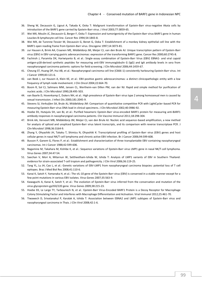- 36. Sheng W, Decaussin G, Ligout A, Takada K, Ooka T: Malignant transformation of Epstein-Barr virus-negative Akata cells by introduction of the BARF1 gene carried by Epstein-Barr virus. J Virol 2003;77:3859-65.
- 37. Wei MX, Moulin JC, Decaussin G, Berger F, Ooka T: Expression and tumorigenicity of the Epstein-Barr virus BARF1 gene in human Louckes B-lymphocyte cell line. Cancer Res 1994;54:1843-8.
- 38. Wei MX, de Turenne-Tessier M, Decaussin G, Benet G, Ooka T: Establishment of a monkey kidney epithelial cell line with the BARF1 open reading frame from Epstein-Barr virus. Oncogene 1997;14:3073-81.
- 39. zur Hausen A, Brink AA, Craanen ME, Middeldorp JM, Meijer CJ, van den Brule AJ: Unique transcription pattern of Epstein-Barr virus (EBV) in EBV-carrying gastric adenocarcinomas: expression of the transforming BARF1 gene. Cancer Res 2000;60:2745-8.
- 40. Fachiroh J, Paramita DK, Hariwiyanto B, et al.: Single-assay combination of Epstein-Barr Virus (EBV) EBNA1- and viral capsid antigen-p18-derived synthetic peptides for measuring anti-EBV immunoglobulin G (IgG) and IgA antibody levels in sera from nasopharyngeal carcinoma patients: options for field screening. J Clin Microbiol 2006;44:1459-67.
- 41. Cheung ST, Huang DP, Hui AB, et al.: Nasopharyngeal carcinoma cell line (C666-1) consistently harbouring Epstein-Barr virus. Int J Cancer 1999;83:121-6.
- 42. van Beek J, zur Hausen A, Klein KE, et al.: EBV-positive gastric adenocarcinomas: a distinct clinicopathologic entity with a low frequency of lymph node involvement. J Clin Oncol 2004;22:664-70.
- 43. Boom R, Sol CJ, Salimans MM, Jansen CL, Wertheim-van Dillen PM, van der NJ: Rapid and simple method for purification of nucleic acids. J Clin Microbiol 1990;28:495-503.
- 44. van Baarle D, Hovenkamp E, Dukers NH, et al.: High prevalence of Epstein-Barr virus type 2 among homosexual men is caused by sexual transmission. J Infect Dis 2000;181:2045-9.
- 45. Stevens SJ, Verkuijlen SA, Brule AJ, Middeldorp JM: Comparison of quantitative competitive PCR with LightCycler-based PCR for measuring Epstein-Barr virus DNA load in clinical specimens. J Clin Microbiol 2002;40:3986-92.
- 46. Hoebe EK, Hutajulu SH, van BJ, et al.: Purified hexameric Epstein-Barr virus-encoded BARF1 protein for measuring anti-BARF1 antibody responses in nasopharyngeal carcinoma patients. Clin Vaccine Immunol 2011;18:298-304.
- 47. Brink AA, Vervoort MB, Middeldorp JM, Meijer CJ, van den Brule AJ: Nucleic acid sequence-based amplification, a new method for analysis of spliced and unspliced Epstein-Barr virus latent transcripts, and its comparison with reverse transcriptase PCR. J Clin Microbiol 1998;36:3164-9.
- 48. Zhang Y, Ohyashiki JH, Takaku T, Shimizu N, Ohyashiki K: Transcriptional profiling of Epstein-Barr virus (EBV) genes and host cellular genes in nasal NK/T-cell lymphoma and chronic active EBV infection. Br J Cancer 2006;94:599-608.
- 49. Busson P, Ganem G, Flores P, et al.: Establishment and characterization of three transplantable EBV-containing nasopharyngeal carcinomas. Int J Cancer 1988;42:599-606.
- 50. Nagamine M, Takahara M, Kishibe K, et al.: Sequence variations of Epstein-Barr virus LMP1 gene in nasal NK/T-cell lymphoma. Virus Genes 2007;34:47-54.
- 51. Saechan V, Mori A, Mitarnun W, Settheetham-Ishida W, Ishida T: Analysis of LMP1 variants of EBV in Southern Thailand: evidence for strain-associated T-cell tropism and pathogenicity. J Clin Virol 2006;36:119-25.
- 52. Tang YL, Lu JH, Cao L, et al.: Genetic variations of EBV-LMP1 from nasopharyngeal carcinoma biopsies: potential loss of T cell epitopes. Braz J Med Biol Res 2008;41:110-6.
- 53. Kanai K, Satoh Y, Yamanaka H, et al.: The vIL-10 gene of the Epstein-Barr virus (EBV) is conserved in a stable manner except for a few point mutations in various EBV isolates. Virus Genes 2007;35:563-9.
- 54. Kawaguchi A, Kanai K, Satoh Y, et al.: The evolution of Epstein-Barr virus inferred from the conservation and mutation of the virus glycoprotein gp350/220 gene. Virus Genes 2009;38:215-23.
- 55. Hoebe EK, Le Large TY, Tarbouriech N, et al.: Epstein-Barr Virus-Encoded BARF1 Protein is a Decoy Receptor for Macrophage Colony Stimulating Factor and Interferes with Macrophage Differentiation and Activation. Viral Immunol 2012;25:461-70.
- 56. Tiwawech D, Srivatanakul P, Karalak A, Ishida T: Association between EBNA2 and LMP1 subtypes of Epstein-Barr virus and nasopharyngeal carcinoma in Thais. J Clin Virol 2008;42:1-6.